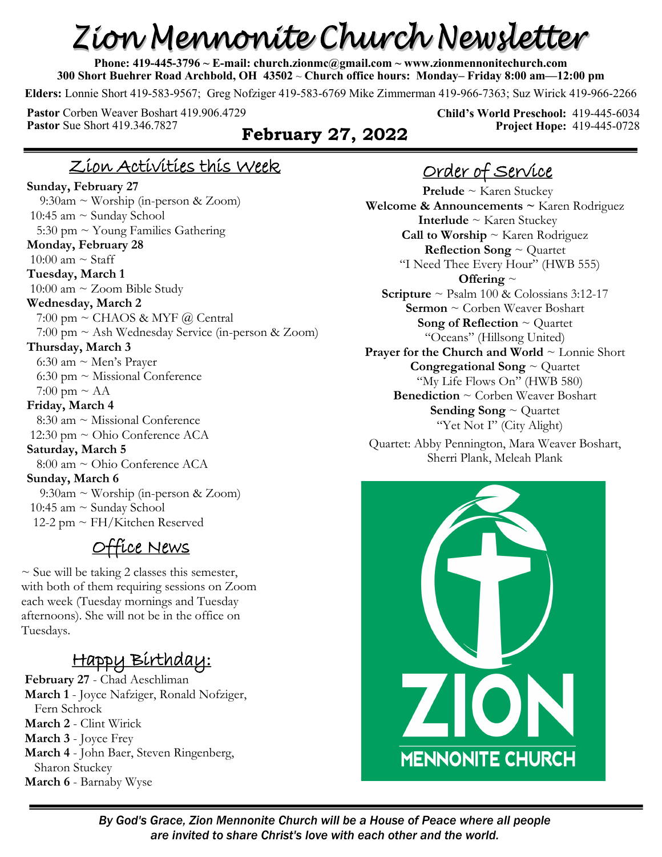# Zion Mennonite Church Newsletter

**Phone: 419-445-3796 ~ E-mail: church.zionmc@gmail.com ~ www.zionmennonitechurch.com 300 Short Buehrer Road Archbold, OH 43502** ~ **Church office hours: Monday– Friday 8:00 am—12:00 pm** 

**Elders:** Lonnie Short 419-583-9567; Greg Nofziger 419-583-6769 Mike Zimmerman 419-966-7363; Suz Wirick 419-966-2266

**Pastor** Corben Weaver Boshart 419.906.4729 **Pastor** Sue Short 419.346.7827 **February 27, 2022** 

**Child's World Preschool:** 419-445-6034 **Project Hope:** 419-445-0728

#### Zion Activities this Week

**Sunday, February 27** 9:30am ~ Worship (in-person & Zoom) 10:45 am ~ Sunday School 5:30 pm  $\sim$  Young Families Gathering **Monday, February 28** 10:00 am  $\sim$  Staff **Tuesday, March 1** 10:00 am ~ Zoom Bible Study **Wednesday, March 2** 7:00 pm  $\sim$  CHAOS & MYF @ Central 7:00 pm ~ Ash Wednesday Service (in-person & Zoom) **Thursday, March 3** 6:30 am  $\sim$  Men's Prayer 6:30 pm ~ Missional Conference 7:00 pm  $\sim$  AA **Friday, March 4** 8:30 am ~ Missional Conference 12:30 pm ~ Ohio Conference ACA **Saturday, March 5** 8:00 am ~ Ohio Conference ACA **Sunday, March 6** 9:30am ~ Worship (in-person & Zoom) 10:45 am  $\sim$  Sunday School 12-2 pm ~ FH/Kitchen Reserved

## Office News

 $\sim$  Sue will be taking 2 classes this semester, with both of them requiring sessions on Zoom each week (Tuesday mornings and Tuesday afternoons). She will not be in the office on Tuesdays.

# Happy Birthday:

**February 27** - Chad Aeschliman **March 1** - Joyce Nafziger, Ronald Nofziger, Fern Schrock **March 2** - Clint Wirick **March 3** - Joyce Frey **March 4** - John Baer, Steven Ringenberg, Sharon Stuckey **March 6** - Barnaby Wyse

# Order of Service

**Prelude** ~ Karen Stuckey **Welcome & Announcements ~** Karen Rodriguez **Interlude** ~ Karen Stuckey **Call to Worship** ~ Karen Rodriguez **Reflection Song** ~ Quartet "I Need Thee Every Hour" (HWB 555) **Offering** ~ **Scripture** ~ Psalm 100 & Colossians 3:12-17 **Sermon** ~ Corben Weaver Boshart **Song of Reflection** ~ Quartet "Oceans" (Hillsong United) **Prayer for the Church and World** ~ Lonnie Short **Congregational Song** ~ Quartet "My Life Flows On" (HWB 580) **Benediction** ~ Corben Weaver Boshart **Sending Song** ~ Quartet "Yet Not I" (City Alight)

Quartet: Abby Pennington, Mara Weaver Boshart, Sherri Plank, Meleah Plank

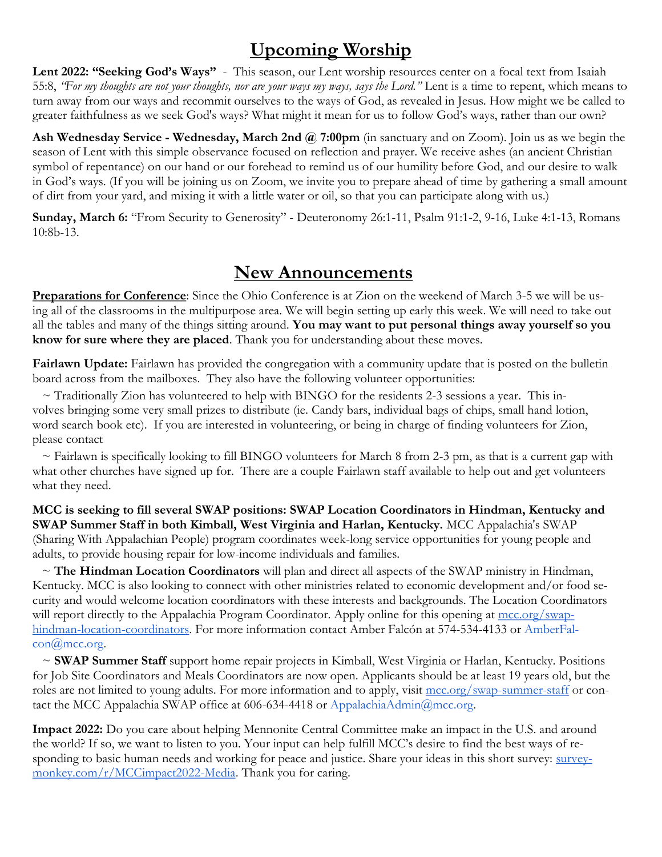# **Upcoming Worship**

Lent 2022: "Seeking God's Ways" - This season, our Lent worship resources center on a focal text from Isaiah 55:8, *"For my thoughts are not your thoughts, nor are your ways my ways, says the Lord."* Lent is a time to repent, which means to turn away from our ways and recommit ourselves to the ways of God, as revealed in Jesus. How might we be called to greater faithfulness as we seek God's ways? What might it mean for us to follow God's ways, rather than our own?

**Ash Wednesday Service - Wednesday, March 2nd @ 7:00pm** (in sanctuary and on Zoom). Join us as we begin the season of Lent with this simple observance focused on reflection and prayer. We receive ashes (an ancient Christian symbol of repentance) on our hand or our forehead to remind us of our humility before God, and our desire to walk in God's ways. (If you will be joining us on Zoom, we invite you to prepare ahead of time by gathering a small amount of dirt from your yard, and mixing it with a little water or oil, so that you can participate along with us.)

**Sunday, March 6:** "From Security to Generosity" - Deuteronomy 26:1-11, Psalm 91:1-2, 9-16, Luke 4:1-13, Romans 10:8b-13.

#### **New Announcements**

**Preparations for Conference**: Since the Ohio Conference is at Zion on the weekend of March 3-5 we will be using all of the classrooms in the multipurpose area. We will begin setting up early this week. We will need to take out all the tables and many of the things sitting around. **You may want to put personal things away yourself so you know for sure where they are placed**. Thank you for understanding about these moves.

Fairlawn Update: Fairlawn has provided the congregation with a community update that is posted on the bulletin board across from the mailboxes. They also have the following volunteer opportunities:

 $\sim$  Traditionally Zion has volunteered to help with BINGO for the residents 2-3 sessions a year. This involves bringing some very small prizes to distribute (ie. Candy bars, individual bags of chips, small hand lotion, word search book etc). If you are interested in volunteering, or being in charge of finding volunteers for Zion, please contact

 $\sim$  Fairlawn is specifically looking to fill BINGO volunteers for March 8 from 2-3 pm, as that is a current gap with what other churches have signed up for. There are a couple Fairlawn staff available to help out and get volunteers what they need.

**MCC is seeking to fill several SWAP positions: SWAP Location Coordinators in Hindman, Kentucky and SWAP Summer Staff in both Kimball, West Virginia and Harlan, Kentucky.** MCC Appalachia's SWAP (Sharing With Appalachian People) program coordinates week-long service opportunities for young people and adults, to provide housing repair for low-income individuals and families.

 ~ **The Hindman Location Coordinators** will plan and direct all aspects of the SWAP ministry in Hindman, Kentucky. MCC is also looking to connect with other ministries related to economic development and/or food security and would welcome location coordinators with these interests and backgrounds. The Location Coordinators will report directly to the Appalachia Program Coordinator. Apply online for this opening at [mcc.org/swap](https://mcc.org/get-involved/serve/openings/swap-hindman-location-coordinators-0)[hindman-location-coordinators.](https://mcc.org/get-involved/serve/openings/swap-hindman-location-coordinators-0) For more information contact Amber Falcón at 574-534-4133 or AmberFalcon@mcc.org.

 ~ **SWAP Summer Staff** support home repair projects in Kimball, West Virginia or Harlan, Kentucky. Positions for Job Site Coordinators and Meals Coordinators are now open. Applicants should be at least 19 years old, but the roles are not limited to young adults. For more information and to apply, visit [mcc.org/swap-summer-staff](https://mcc.org/get-involved/serve/openings/more/swap) or contact the MCC Appalachia SWAP office at 606-634-4418 or AppalachiaAdmin@mcc.org.

**Impact 2022:** Do you care about helping Mennonite Central Committee make an impact in the U.S. and around the world? If so, we want to listen to you. Your input can help fulfill MCC's desire to find the best ways of responding to basic human needs and working for peace and justice. Share your ideas in this short survey: [survey](https://www.surveymonkey.com/r/MCCimpact2022-Media)[monkey.com/r/MCCimpact2022-Media.](https://www.surveymonkey.com/r/MCCimpact2022-Media) Thank you for caring.